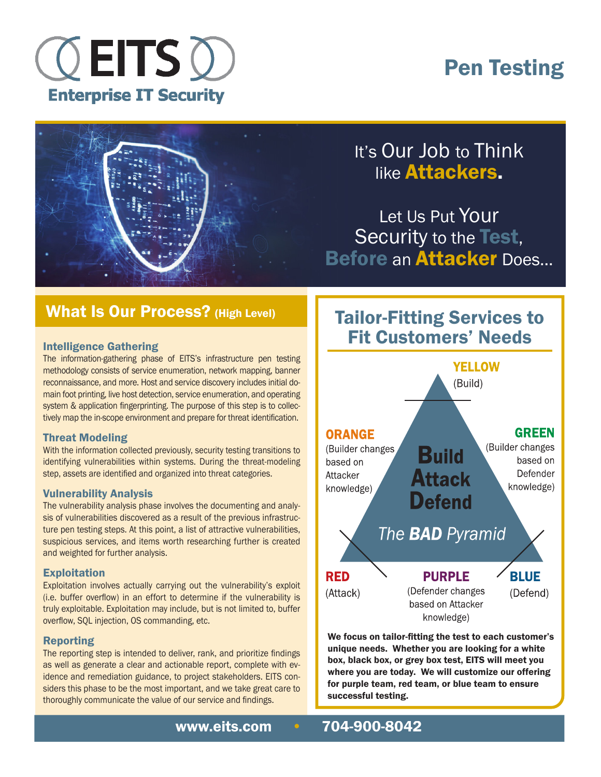

# Pen Testing



### It's Our Job to Think like Attackers.

Let Us Put Your Security to the Test, Before an **Attacker** Does...

### What Is Our Process? (High Level)

#### Intelligence Gathering

The information-gathering phase of EITS's infrastructure pen testing methodology consists of service enumeration, network mapping, banner reconnaissance, and more. Host and service discovery includes initial domain foot printing, live host detection, service enumeration, and operating system & application fingerprinting. The purpose of this step is to collectively map the in-scope environment and prepare for threat identification.

#### Threat Modeling

With the information collected previously, security testing transitions to identifying vulnerabilities within systems. During the threat-modeling step, assets are identified and organized into threat categories.

#### Vulnerability Analysis

The vulnerability analysis phase involves the documenting and analysis of vulnerabilities discovered as a result of the previous infrastructure pen testing steps. At this point, a list of attractive vulnerabilities, suspicious services, and items worth researching further is created and weighted for further analysis.

#### **Exploitation**

Exploitation involves actually carrying out the vulnerability's exploit (i.e. buffer overflow) in an effort to determine if the vulnerability is truly exploitable. Exploitation may include, but is not limited to, buffer overflow, SQL injection, OS commanding, etc.

#### Reporting

The reporting step is intended to deliver, rank, and prioritize findings as well as generate a clear and actionable report, complete with evidence and remediation guidance, to project stakeholders. EITS considers this phase to be the most important, and we take great care to thoroughly communicate the value of our service and findings.

### Tailor-Fitting Services to Fit Customers' Needs



We focus on tailor-fitting the test to each customer's unique needs. Whether you are looking for a white box, black box, or grey box test, EITS will meet you where you are today. We will customize our offering for purple team, red team, or blue team to ensure successful testing.